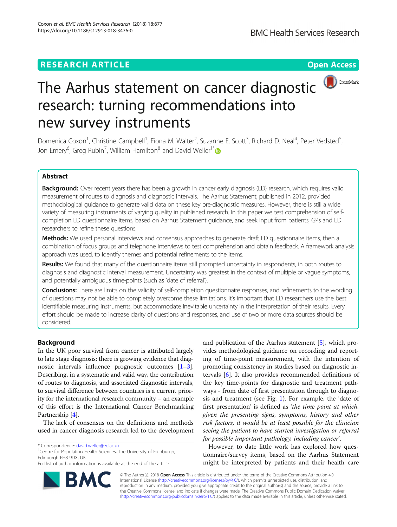## **RESEARCH ARTICLE Example 2018 12:30 THE Open Access**



# The Aarhus statement on cancer diagnostic research: turning recommendations into new survey instruments

Domenica Coxon<sup>1</sup>, Christine Campbell<sup>1</sup>, Fiona M. Walter<sup>2</sup>, Suzanne E. Scott<sup>3</sup>, Richard D. Neal<sup>4</sup>, Peter Vedsted<sup>5</sup> , Jon Emery $^6$ , Greg Rubin $^7$ , William Hamilton $^8$  and David Weller $^1{}^*$ 

## Abstract

Background: Over recent years there has been a growth in cancer early diagnosis (ED) research, which requires valid measurement of routes to diagnosis and diagnostic intervals. The Aarhus Statement, published in 2012, provided methodological guidance to generate valid data on these key pre-diagnostic measures. However, there is still a wide variety of measuring instruments of varying quality in published research. In this paper we test comprehension of selfcompletion ED questionnaire items, based on Aarhus Statement guidance, and seek input from patients, GPs and ED researchers to refine these questions.

Methods: We used personal interviews and consensus approaches to generate draft ED questionnaire items, then a combination of focus groups and telephone interviews to test comprehension and obtain feedback. A framework analysis approach was used, to identify themes and potential refinements to the items.

Results: We found that many of the questionnaire items still prompted uncertainty in respondents, in both routes to diagnosis and diagnostic interval measurement. Uncertainty was greatest in the context of multiple or vague symptoms, and potentially ambiguous time-points (such as 'date of referral').

Conclusions: There are limits on the validity of self-completion questionnaire responses, and refinements to the wording of questions may not be able to completely overcome these limitations. It's important that ED researchers use the best identifiable measuring instruments, but accommodate inevitable uncertainty in the interpretation of their results. Every effort should be made to increase clarity of questions and responses, and use of two or more data sources should be considered.

## Background

In the UK poor survival from cancer is attributed largely to late stage diagnosis; there is growing evidence that diagnostic intervals influence prognostic outcomes [[1](#page-8-0)–[3](#page-8-0)]. Describing, in a systematic and valid way, the contribution of routes to diagnosis, and associated diagnostic intervals, to survival difference between countries is a current priority for the international research community – an example of this effort is the International Cancer Benchmarking Partnership [[4](#page-8-0)].

The lack of consensus on the definitions and methods used in cancer diagnosis research led to the development

<sup>1</sup> Centre for Population Health Sciences, The University of Edinburgh, Edinburgh EH8 9DX, UK



However, to date little work has explored how questionnaire/survey items, based on the Aarhus Statement might be interpreted by patients and their health care



© The Author(s). 2018 Open Access This article is distributed under the terms of the Creative Commons Attribution 4.0 International License [\(http://creativecommons.org/licenses/by/4.0/](http://creativecommons.org/licenses/by/4.0/)), which permits unrestricted use, distribution, and reproduction in any medium, provided you give appropriate credit to the original author(s) and the source, provide a link to the Creative Commons license, and indicate if changes were made. The Creative Commons Public Domain Dedication waiver [\(http://creativecommons.org/publicdomain/zero/1.0/](http://creativecommons.org/publicdomain/zero/1.0/)) applies to the data made available in this article, unless otherwise stated.

<sup>\*</sup> Correspondence: [david.weller@ed.ac.uk](mailto:david.weller@ed.ac.uk) <sup>1</sup>

Full list of author information is available at the end of the article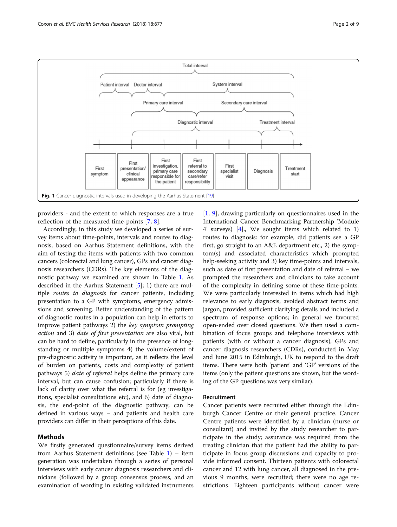<span id="page-1-0"></span>

providers - and the extent to which responses are a true reflection of the measured time-points [[7,](#page-8-0) [8\]](#page-8-0).

Accordingly, in this study we developed a series of survey items about time-points, intervals and routes to diagnosis, based on Aarhus Statement definitions, with the aim of testing the items with patients with two common cancers (colorectal and lung cancer), GPs and cancer diagnosis researchers (CDRs). The key elements of the diagnostic pathway we examined are shown in Table [1](#page-2-0). As described in the Aarhus Statement [\[5\]](#page-8-0); 1) there are multiple routes to diagnosis for cancer patients, including presentation to a GP with symptoms, emergency admissions and screening. Better understanding of the pattern of diagnostic routes in a population can help in efforts to improve patient pathways 2) the key symptom prompting action and 3) date of first presentation are also vital, but can be hard to define, particularly in the presence of longstanding or multiple symptoms 4) the volume/extent of pre-diagnostic activity is important, as it reflects the level of burden on patients, costs and complexity of patient pathways 5) date of referral helps define the primary care interval, but can cause confusion; particularly if there is lack of clarity over what the referral is for (eg investigations, specialist consultations etc), and 6) date of diagnosis, the end-point of the diagnostic pathway, can be defined in various ways – and patients and health care providers can differ in their perceptions of this date.

## Methods

We firstly generated questionnaire/survey items derived from Aarhus Statement definitions (see Table [1\)](#page-2-0) – item generation was undertaken through a series of personal interviews with early cancer diagnosis researchers and clinicians (followed by a group consensus process, and an examination of wording in existing validated instruments [[1,](#page-8-0) [9](#page-8-0)], drawing particularly on questionnaires used in the International Cancer Benchmarking Partnership 'Module 4' surveys) [[4](#page-8-0)]., We sought items which related to 1) routes to diagnosis: for example, did patients see a GP first, go straight to an A&E department etc., 2) the symptom(s) and associated characteristics which prompted help-seeking activity and 3) key time-points and intervals, such as date of first presentation and date of referral – we prompted the researchers and clinicians to take account of the complexity in defining some of these time-points. We were particularly interested in items which had high relevance to early diagnosis, avoided abstract terms and jargon, provided sufficient clarifying details and included a spectrum of response options; in general we favoured open-ended over closed questions. We then used a combination of focus groups and telephone interviews with patients (with or without a cancer diagnosis), GPs and cancer diagnosis researchers (CDRs), conducted in May and June 2015 in Edinburgh, UK to respond to the draft items. There were both 'patient' and 'GP' versions of the items (only the patient questions are shown, but the wording of the GP questions was very similar).

#### Recruitment

Cancer patients were recruited either through the Edinburgh Cancer Centre or their general practice. Cancer Centre patients were identified by a clinician (nurse or consultant) and invited by the study researcher to participate in the study; assurance was required from the treating clinician that the patient had the ability to participate in focus group discussions and capacity to provide informed consent. Thirteen patients with colorectal cancer and 12 with lung cancer, all diagnosed in the previous 9 months, were recruited; there were no age restrictions. Eighteen participants without cancer were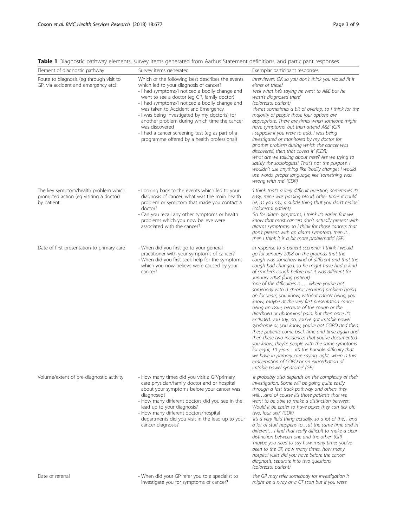<span id="page-2-0"></span>Table 1 Diagnostic pathway elements, survey items generated from Aarhus Statement definitions, and participant responses

| Element of diagnostic pathway                                                                | Survey items generated                                                                                                                                                                                                                                                                                                                                                                                                                                                                                      | Exemplar participant responses                                                                                                                                                                                                                                                                                                                                                                                                                                                                                                                                                                                                                                                                                                                                                                                                                                                                                                                                                                                                                                                  |
|----------------------------------------------------------------------------------------------|-------------------------------------------------------------------------------------------------------------------------------------------------------------------------------------------------------------------------------------------------------------------------------------------------------------------------------------------------------------------------------------------------------------------------------------------------------------------------------------------------------------|---------------------------------------------------------------------------------------------------------------------------------------------------------------------------------------------------------------------------------------------------------------------------------------------------------------------------------------------------------------------------------------------------------------------------------------------------------------------------------------------------------------------------------------------------------------------------------------------------------------------------------------------------------------------------------------------------------------------------------------------------------------------------------------------------------------------------------------------------------------------------------------------------------------------------------------------------------------------------------------------------------------------------------------------------------------------------------|
| Route to diagnosis (eg through visit to<br>GP, via accident and emergency etc)               | Which of the following best describes the events<br>which led to your diagnosis of cancer?<br>• I had symptoms/I noticed a bodily change and<br>went to see a doctor (eg GP, family doctor)<br>• I had symptoms/I noticed a bodily change and<br>was taken to Accident and Emergency<br>• I was being investigated by my doctor(s) for<br>another problem during which time the cancer<br>was discovered<br>• I had a cancer screening test (eg as part of a<br>programme offered by a health professional) | interviewer: OK so you don't think you would fit it<br>either of these?<br>'well what he's saying he went to A&E but he<br>wasn't diagnosed there'<br>(colorectal patient)<br>'there's sometimes a bit of overlap, so I think for the<br>majority of people those four options are<br>appropriate. There are times when someone might<br>have symptoms, but then attend A&E' (GP)<br>I suppose if you were to add, I was being<br>investigated or monitored by my doctor for<br>another problem during which the cancer was<br>discovered, then that covers it' (CDR)<br>what are we talking about here? Are we trying to<br>satisfy the sociologists? That's not the purpose. I<br>wouldn't use anything like 'bodily change'; I would<br>use words, proper language, like 'something was<br>wrong with me' (CDR)                                                                                                                                                                                                                                                              |
| The key symptom/health problem which<br>prompted action (eq visiting a doctor)<br>by patient | • Looking back to the events which led to your<br>diagnosis of cancer, what was the main health<br>problem or symptom that made you contact a<br>doctor?<br>• Can you recall any other symptoms or health<br>problems which you now believe were<br>associated with the cancer?                                                                                                                                                                                                                             | 'I think that's a very difficult question, sometimes it's<br>easy, mine was passing blood, other times it could<br>be, as you say, a subtle thing that you don't realise'<br>(colorectal patient)<br>'So for alarm symptoms, I think it's easier. But we<br>know that most cancers don't actually present with<br>alarms symptoms, so I think for those cancers that<br>don't present with an alarm symptom, then it<br>then I think it is a bit more problematic' (GP)                                                                                                                                                                                                                                                                                                                                                                                                                                                                                                                                                                                                         |
| Date of first presentation to primary care                                                   | • When did you first go to your general<br>practitioner with your symptoms of cancer?<br>• When did you first seek help for the symptoms<br>which you now believe were caused by your<br>cancer?                                                                                                                                                                                                                                                                                                            | In response to a patient scenario: 'I think I would<br>go for January 2008 on the grounds that the<br>cough was somehow kind of different and that the<br>cough had changed, so he might have had a kind<br>of smoker's cough before but it was different for<br>January 2008' (lung patient)<br>'one of the difficulties is where you've got<br>somebody with a chronic recurring problem going<br>on for years, you know, without cancer being, you<br>know, maybe at the very first presentation cancer<br>being an issue, because of the cough or the<br>diarrhoea or abdominal pain, but then once it's<br>excluded, you say, no, you've got irritable bowel<br>syndrome or, you know, you've got COPD and then<br>these patients come back time and time again and<br>then these two incidences that you've documented,<br>you know, they're people with the same symptoms<br>for eight, 10 yearsit's the horrible difficulty that<br>we have in primary care saying, right, when is this<br>exacerbation of COPD or an exacerbation of<br>irritable bowel syndrome' (GP) |
| Volume/extent of pre-diagnostic activity                                                     | • How many times did you visit a GP/primary<br>care physician/family doctor and or hospital<br>about your symptoms before your cancer was<br>diagnosed?<br>• How many different doctors did you see in the<br>lead up to your diagnosis?<br>• How many different doctors/hospital<br>departments did you visit in the lead up to your<br>cancer diagnosis?                                                                                                                                                  | 'it probably also depends on the complexity of their<br>investigation. Some will be going quite easily<br>through a fast track pathway and others they<br>willand of course it's those patients that we<br>want to be able to make a distinction between.<br>Would it be easier to have boxes they can tick off,<br>two, four, six?' (CDR)<br>'It's a very fluid thing actually, so a lot of theand<br>a lot of stuff happens toat the same time and in<br>different I find that really difficult to make a clear<br>distinction between one and the other' (GP)<br>'maybe you need to say how many times you've<br>been to the GP, how many times, how many<br>hospital visits did you have before the cancer<br>diagnosis, separate into two questions<br>(colorectal patient)                                                                                                                                                                                                                                                                                                |
| Date of referral                                                                             | • When did your GP refer you to a specialist to<br>investigate you for symptoms of cancer?                                                                                                                                                                                                                                                                                                                                                                                                                  | 'the GP may refer somebody for investigation it<br>might be a x-ray or a CT scan but if you were                                                                                                                                                                                                                                                                                                                                                                                                                                                                                                                                                                                                                                                                                                                                                                                                                                                                                                                                                                                |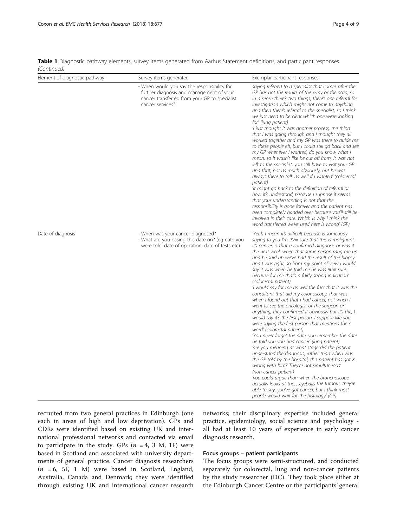Table 1 Diagnostic pathway elements, survey items generated from Aarhus Statement definitions, and participant responses (Continued)

| Element of diagnostic pathway | Survey items generated                                                                                                                                       | Exemplar participant responses                                                                                                                                                                                                                                                                                                                                                                                                                                                                                                                                                                                                                                                                                                                                                                                                                                                                                                                                                                                                                                                                                                                                                                                                                                                                                                                                                                              |
|-------------------------------|--------------------------------------------------------------------------------------------------------------------------------------------------------------|-------------------------------------------------------------------------------------------------------------------------------------------------------------------------------------------------------------------------------------------------------------------------------------------------------------------------------------------------------------------------------------------------------------------------------------------------------------------------------------------------------------------------------------------------------------------------------------------------------------------------------------------------------------------------------------------------------------------------------------------------------------------------------------------------------------------------------------------------------------------------------------------------------------------------------------------------------------------------------------------------------------------------------------------------------------------------------------------------------------------------------------------------------------------------------------------------------------------------------------------------------------------------------------------------------------------------------------------------------------------------------------------------------------|
|                               | • When would you say the responsibility for<br>further diagnosis and management of your<br>cancer transferred from your GP to specialist<br>cancer services? | saying referred to a specialist that comes after the<br>GP has got the results of the x-ray or the scan, so<br>in a sense there's two things, there's one referral for<br>investigation which might not come to anything<br>and then there's referral to the specialist, so I think<br>we just need to be clear which one we're looking<br>for' (lung patient)<br>'l just thought it was another process, the thing<br>that I was going through and I thought they all<br>worked together and my GP was there to guide me<br>to these people eh, but I could still go back and see<br>my GP whenever I wanted, do you know what I<br>mean, so it wasn't like he cut off from, it was not<br>left to the specialist, you still have to visit your GP<br>and that, not as much obviously, but he was<br>always there to talk as well if I wanted' (colorectal<br>patient)<br>'it might go back to the definition of referral or<br>how it's understood, because I suppose it seems<br>that your understanding is not that the<br>responsibility is gone forever and the patient has<br>been completely handed over because you'll still be<br>involved in their care. Which is why I think the<br>word transferred we've used here is wrong' (GP)                                                                                                                                                             |
| Date of diagnosis             | • When was your cancer diagnosed?<br>• What are you basing this date on? (eg date you<br>were told, date of operation, date of tests etc)                    | 'Yeah I mean it's difficult because is somebody<br>saying to you I'm 90% sure that this is malignant,<br>it's cancer, is that a confirmed diagnosis or was it<br>the next week when that same person rang me up<br>and he said ah we've had the result of the biopsy<br>and I was right, so from my point of view I would<br>say it was when he told me he was 90% sure,<br>because for me that's a fairly strong indication'<br>(colorectal patient)<br>'I would say for me as well the fact that it was the<br>consultant that did my colonoscopy, that was<br>when I found out that I had cancer, not when I<br>went to see the oncologist or the surgeon or<br>anything, they confirmed it obviously but it's the, I<br>would say it's the first person, I suppose like you<br>were saying the first person that mentions the c<br>word' (colorectal patient)<br>'You never forget the date, you remember the date<br>he told you you had cancer' (lung patient)<br>'are you meaning at what stage did the patient<br>understand the diagnosis, rather than when was<br>the GP told by the hospital, this patient has got $X$<br>wrong with him? They're not simultaneous'<br>(non-cancer patient)<br>'you could argue than when the bronchoscope<br>actually looks at theeyeballs the tumour, they're<br>able to say, you've got cancer, but I think most<br>people would wait for the histology' (GP) |

recruited from two general practices in Edinburgh (one each in areas of high and low deprivation). GPs and CDRs were identified based on existing UK and international professional networks and contacted via email to participate in the study. GPs  $(n = 4, 3, M, 1F)$  were based in Scotland and associated with university departments of general practice. Cancer diagnosis researchers  $(n = 6, 5F, 1 M)$  were based in Scotland, England, Australia, Canada and Denmark; they were identified through existing UK and international cancer research networks; their disciplinary expertise included general practice, epidemiology, social science and psychology all had at least 10 years of experience in early cancer diagnosis research.

## Focus groups – patient participants

The focus groups were semi-structured, and conducted separately for colorectal, lung and non-cancer patients by the study researcher (DC). They took place either at the Edinburgh Cancer Centre or the participants' general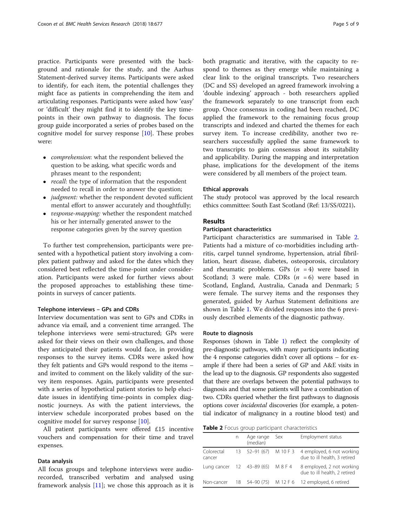practice. Participants were presented with the background and rationale for the study, and the Aarhus Statement-derived survey items. Participants were asked to identify, for each item, the potential challenges they might face as patients in comprehending the item and articulating responses. Participants were asked how 'easy' or 'difficult' they might find it to identify the key timepoints in their own pathway to diagnosis. The focus group guide incorporated a series of probes based on the cognitive model for survey response [[10\]](#page-8-0). These probes were:

- *comprehension*: what the respondent believed the question to be asking, what specific words and phrases meant to the respondent;
- *recall*: the type of information that the respondent needed to recall in order to answer the question;
- *judgment:* whether the respondent devoted sufficient mental effort to answer accurately and thoughtfully;
- response-mapping: whether the respondent matched his or her internally generated answer to the response categories given by the survey question

To further test comprehension, participants were presented with a hypothetical patient story involving a complex patient pathway and asked for the dates which they considered best reflected the time-point under consideration. Participants were asked for further views about the proposed approaches to establishing these timepoints in surveys of cancer patients.

## Telephone interviews – GPs and CDRs

Interview documentation was sent to GPs and CDRs in advance via email, and a convenient time arranged. The telephone interviews were semi-structured; GPs were asked for their views on their own challenges, and those they anticipated their patients would face, in providing responses to the survey items. CDRs were asked how they felt patients and GPs would respond to the items – and invited to comment on the likely validity of the survey item responses. Again, participants were presented with a series of hypothetical patient stories to help elucidate issues in identifying time-points in complex diagnostic journeys. As with the patient interviews, the interview schedule incorporated probes based on the cognitive model for survey response [[10](#page-8-0)].

All patient participants were offered £15 incentive vouchers and compensation for their time and travel expenses.

#### Data analysis

All focus groups and telephone interviews were audiorecorded, transcribed verbatim and analysed using framework analysis  $[11]$  $[11]$  $[11]$ ; we chose this approach as it is

both pragmatic and iterative, with the capacity to respond to themes as they emerge while maintaining a clear link to the original transcripts. Two researchers (DC and SS) developed an agreed framework involving a 'double indexing' approach - both researchers applied the framework separately to one transcript from each group. Once consensus in coding had been reached, DC applied the framework to the remaining focus group transcripts and indexed and charted the themes for each survey item. To increase credibility, another two researchers successfully applied the same framework to two transcripts to gain consensus about its suitability and applicability. During the mapping and interpretation phase, implications for the development of the items were considered by all members of the project team.

#### Ethical approvals

The study protocol was approved by the local research ethics committee: South East Scotland (Ref: 13/SS/0221).

## Results

## Participant characteristics

Participant characteristics are summarised in Table 2. Patients had a mixture of co-morbidities including arthritis, carpel tunnel syndrome, hypertension, atrial fibrillation, heart disease, diabetes, osteoporosis, circulatory and rheumatic problems. GPs  $(n = 4)$  were based in Scotland; 3 were male. CDRs  $(n = 6)$  were based in Scotland, England, Australia, Canada and Denmark; 5 were female. The survey items and the responses they generated, guided by Aarhus Statement definitions are shown in Table [1.](#page-2-0) We divided responses into the 6 previously described elements of the diagnostic pathway.

#### Route to diagnosis

Responses (shown in Table [1\)](#page-2-0) reflect the complexity of pre-diagnostic pathways, with many participants indicating the 4 response categories didn't cover all options – for example if there had been a series of GP and A&E visits in the lead up to the diagnosis. GP respondents also suggested that there are overlaps between the potential pathways to diagnosis and that some patients will have a combination of two. CDRs queried whether the first pathways to diagnosis options cover incidental discoveries (for example, a potential indicator of malignancy in a routine blood test) and

Table 2 Focus group participant characteristics

| n | Age range<br>(median) | Sex                           | Employment status                                           |
|---|-----------------------|-------------------------------|-------------------------------------------------------------|
|   |                       |                               | 4 employed, 6 not working<br>due to ill health. 3 retired   |
|   |                       |                               | 8 employed, 2 not working<br>due to ill health. 2 retired   |
|   |                       |                               | 12 employed, 6 retired                                      |
|   |                       | $12 \quad 43 - 89 \quad (65)$ | 13 52-91 (67) M 10 F 3<br>M 8 F 4<br>18 54–90 (75) M 12 F 6 |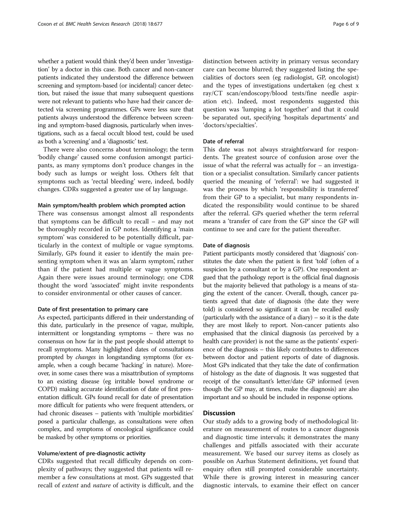whether a patient would think they'd been under 'investigation' by a doctor in this case. Both cancer and non-cancer patients indicated they understood the difference between screening and symptom-based (or incidental) cancer detection, but raised the issue that many subsequent questions were not relevant to patients who have had their cancer detected via screening programmes. GPs were less sure that patients always understood the difference between screening and symptom-based diagnosis, particularly when investigations, such as a faecal occult blood test, could be used as both a 'screening' and a 'diagnostic' test.

There were also concerns about terminology; the term 'bodily change' caused some confusion amongst participants, as many symptoms don't produce changes in the body such as lumps or weight loss. Others felt that symptoms such as 'rectal bleeding' were, indeed, bodily changes. CDRs suggested a greater use of lay language.

#### Main symptom/health problem which prompted action

There was consensus amongst almost all respondents that symptoms can be difficult to recall – and may not be thoroughly recorded in GP notes. Identifying a 'main symptom' was considered to be potentially difficult, particularly in the context of multiple or vague symptoms. Similarly, GPs found it easier to identify the main presenting symptom when it was an 'alarm symptom', rather than if the patient had multiple or vague symptoms. Again there were issues around terminology; one CDR thought the word 'associated' might invite respondents to consider environmental or other causes of cancer.

## Date of first presentation to primary care

As expected, participants differed in their understanding of this date, particularly in the presence of vague, multiple, intermittent or longstanding symptoms – there was no consensus on how far in the past people should attempt to recall symptoms. Many highlighted dates of consultations prompted by changes in longstanding symptoms (for example, when a cough became 'hacking' in nature). Moreover, in some cases there was a misattribution of symptoms to an existing disease (eg irritable bowel syndrome or COPD) making accurate identification of date of first presentation difficult. GPs found recall for date of presentation more difficult for patients who were frequent attenders, or had chronic diseases – patients with 'multiple morbidities' posed a particular challenge, as consultations were often complex, and symptoms of oncological significance could be masked by other symptoms or priorities.

## Volume/extent of pre-diagnostic activity

CDRs suggested that recall difficulty depends on complexity of pathways; they suggested that patients will remember a few consultations at most. GPs suggested that recall of extent and nature of activity is difficult, and the distinction between activity in primary versus secondary care can become blurred; they suggested listing the specialities of doctors seen (eg radiologist, GP, oncologist) and the types of investigations undertaken (eg chest x ray/CT scan/endoscopy/blood tests/fine needle aspiration etc). Indeed, most respondents suggested this question was 'lumping a lot together' and that it could be separated out, specifying 'hospitals departments' and 'doctors/specialties'.

## Date of referral

This date was not always straightforward for respondents. The greatest source of confusion arose over the issue of what the referral was actually for – an investigation or a specialist consultation. Similarly cancer patients queried the meaning of 'referral': we had suggested it was the process by which 'responsibility is transferred' from their GP to a specialist, but many respondents indicated the responsibility would continue to be shared after the referral. GPs queried whether the term referral means a 'transfer of care from the GP' since the GP will continue to see and care for the patient thereafter.

#### Date of diagnosis

Patient participants mostly considered that 'diagnosis' constitutes the date when the patient is first 'told' (often of a suspicion by a consultant or by a GP). One respondent argued that the pathology report is the official final diagnosis but the majority believed that pathology is a means of staging the extent of the cancer. Overall, though, cancer patients agreed that date of diagnosis (the date they were told) is considered so significant it can be recalled easily (particularly with the assistance of a diary) – so it is the date they are most likely to report. Non-cancer patients also emphasised that the clinical diagnosis (as perceived by a health care provider) is not the same as the patients' experience of the diagnosis – this likely contributes to differences between doctor and patient reports of date of diagnosis. Most GPs indicated that they take the date of confirmation of histology as the date of diagnosis. It was suggested that receipt of the consultant's letter/date GP informed (even though the GP may, at times, make the diagnosis) are also important and so should be included in response options.

## **Discussion**

Our study adds to a growing body of methodological literature on measurement of routes to a cancer diagnosis and diagnostic time intervals; it demonstrates the many challenges and pitfalls associated with their accurate measurement. We based our survey items as closely as possible on Aarhus Statement definitions, yet found that enquiry often still prompted considerable uncertainty. While there is growing interest in measuring cancer diagnostic intervals, to examine their effect on cancer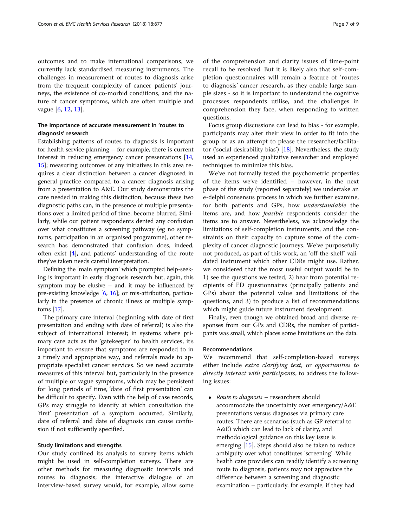outcomes and to make international comparisons, we currently lack standardised measuring instruments. The challenges in measurement of routes to diagnosis arise from the frequent complexity of cancer patients' journeys, the existence of co-morbid conditions, and the nature of cancer symptoms, which are often multiple and vague [\[6](#page-8-0), [12,](#page-8-0) [13\]](#page-8-0).

## The importance of accurate measurement in 'routes to diagnosis' research

Establishing patterns of routes to diagnosis is important for health service planning – for example, there is current interest in reducing emergency cancer presentations [[14](#page-8-0), [15](#page-8-0)]; measuring outcomes of any initiatives in this area requires a clear distinction between a cancer diagnosed in general practice compared to a cancer diagnosis arising from a presentation to A&E. Our study demonstrates the care needed in making this distinction, because these two diagnostic paths can, in the presence of multiple presentations over a limited period of time, become blurred. Similarly, while our patient respondents denied any confusion over what constitutes a screening pathway (eg no symptoms, participation in an organised programme), other research has demonstrated that confusion does, indeed, often exist [\[4](#page-8-0)], and patients' understanding of the route they've taken needs careful interpretation.

Defining the 'main symptom' which prompted help-seeking is important in early diagnosis research but, again, this symptom may be elusive – and, it may be influenced by pre-existing knowledge [[6](#page-8-0), [16](#page-8-0)]; or mis-attribution, particularly in the presence of chronic illness or multiple symptoms [[17](#page-8-0)].

The primary care interval (beginning with date of first presentation and ending with date of referral) is also the subject of international interest; in systems where primary care acts as the 'gatekeeper' to health services, it's important to ensure that symptoms are responded to in a timely and appropriate way, and referrals made to appropriate specialist cancer services. So we need accurate measures of this interval but, particularly in the presence of multiple or vague symptoms, which may be persistent for long periods of time, 'date of first presentation' can be difficult to specify. Even with the help of case records, GPs may struggle to identify at which consultation the 'first' presentation of a symptom occurred. Similarly, date of referral and date of diagnosis can cause confusion if not sufficiently specified.

#### Study limitations and strengths

Our study confined its analysis to survey items which might be used in self-completion surveys. There are other methods for measuring diagnostic intervals and routes to diagnosis; the interactive dialogue of an interview-based survey would, for example, allow some of the comprehension and clarity issues of time-point recall to be resolved. But it is likely also that self-completion questionnaires will remain a feature of 'routes to diagnosis' cancer research, as they enable large sample sizes - so it is important to understand the cognitive processes respondents utilise, and the challenges in comprehension they face, when responding to written questions.

Focus group discussions can lead to bias - for example, participants may alter their view in order to fit into the group or as an attempt to please the researcher/facilitator ('social desirability bias') [\[18\]](#page-8-0). Nevertheless, the study used an experienced qualitative researcher and employed techniques to minimize this bias.

We've not formally tested the psychometric properties of the items we've identified – however, in the next phase of the study (reported separately) we undertake an e-delphi consensus process in which we further examine, for both patients and GPs, how understandable the items are, and how feasible respondents consider the items are to answer. Nevertheless, we acknowledge the limitations of self-completion instruments, and the constraints on their capacity to capture some of the complexity of cancer diagnostic journeys. We've purposefully not produced, as part of this work, an 'off-the-shelf' validated instrument which other CDRs might use. Rather, we considered that the most useful output would be to 1) see the questions we tested, 2) hear from potential recipients of ED questionnaires (principally patients and GPs) about the potential value and limitations of the questions, and 3) to produce a list of recommendations which might guide future instrument development.

Finally, even though we obtained broad and diverse responses from our GPs and CDRs, the number of participants was small, which places some limitations on the data.

#### Recommendations

We recommend that self-completion-based surveys either include extra clarifying text, or opportunities to directly interact with participants, to address the following issues:

• *Route to diagnosis* – researchers should accommodate the uncertainty over emergency/A&E presentations versus diagnoses via primary care routes. There are scenarios (such as GP referral to A&E) which can lead to lack of clarity, and methodological guidance on this key issue is emerging [\[15\]](#page-8-0). Steps should also be taken to reduce ambiguity over what constitutes 'screening'. While health care providers can readily identify a screening route to diagnosis, patients may not appreciate the difference between a screening and diagnostic examination – particularly, for example, if they had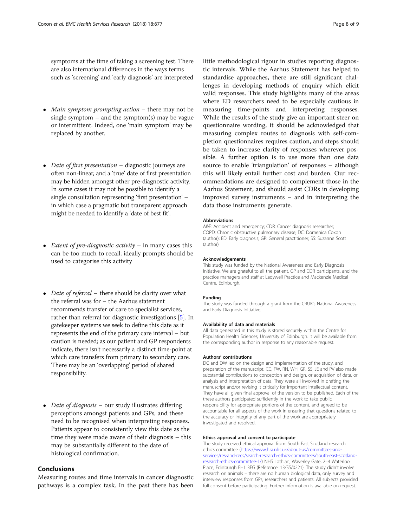symptoms at the time of taking a screening test. There are also international differences in the ways terms such as 'screening' and 'early diagnosis' are interpreted

- Main symptom prompting  $action$  there may not be single symptom  $-$  and the symptom(s) may be vague or intermittent. Indeed, one 'main symptom' may be replaced by another.
- Date of first presentation  $-$  diagnostic journeys are often non-linear, and a 'true' date of first presentation may be hidden amongst other pre-diagnostic activity. In some cases it may not be possible to identify a single consultation representing 'first presentation' – in which case a pragmatic but transparent approach might be needed to identify a 'date of best fit'.
- *Extent of pre-diagnostic activity*  $-$  in many cases this can be too much to recall; ideally prompts should be used to categorise this activity
- *Date of referral*  $-$  there should be clarity over what the referral was for – the Aarhus statement recommends transfer of care to specialist services, rather than referral for diagnostic investigations [[5](#page-8-0)]. In gatekeeper systems we seek to define this date as it represents the end of the primary care interval – but caution is needed; as our patient and GP respondents indicate, there isn't necessarily a distinct time-point at which care transfers from primary to secondary care. There may be an 'overlapping' period of shared responsibility.
- Date of diagnosis  $-$  our study illustrates differing perceptions amongst patients and GPs, and these need to be recognised when interpreting responses. Patients appear to consistently view this date as the time they were made aware of their diagnosis – this may be substantially different to the date of histological confirmation.

## Conclusions

Measuring routes and time intervals in cancer diagnostic pathways is a complex task. In the past there has been

little methodological rigour in studies reporting diagnostic intervals. While the Aarhus Statement has helped to standardise approaches, there are still significant challenges in developing methods of enquiry which elicit valid responses. This study highlights many of the areas where ED researchers need to be especially cautious in measuring time-points and interpreting responses. While the results of the study give an important steer on questionnaire wording, it should be acknowledged that measuring complex routes to diagnosis with self-completion questionnaires requires caution, and steps should be taken to increase clarity of responses wherever possible. A further option is to use more than one data source to enable 'triangulation' of responses – although this will likely entail further cost and burden. Our recommendations are designed to complement those in the Aarhus Statement, and should assist CDRs in developing improved survey instruments – and in interpreting the data those instruments generate.

#### Abbreviations

A&E: Accident and emergency; CDR: Cancer diagnosis researcher; COPD: Chronic obstructive pulmonary disease; DC: Domenica Coxon (author); ED: Early diagnosis; GP: General practitioner; SS: Suzanne Scott (author)

#### Acknowledgements

This study was funded by the National Awareness and Early Diagnosis Initiative. We are grateful to all the patient, GP and CDR participants, and the practice managers and staff at Ladywell Practice and Mackenzie Medical Centre, Edinburgh.

#### Funding

The study was funded through a grant from the CRUK's National Awareness and Early Diagnosis Initiative.

#### Availability of data and materials

All data generated in this study is stored securely within the Centre for Population Health Sciences, University of Edinburgh. It will be available from the corresponding author in response to any reasonable request.

#### Authors' contributions

DC and DW led on the design and implementation of the study, and preparation of the manuscript. CC, FW, RN, WH, GR, SS, JE and PV also made substantial contributions to conception and design, or acquisition of data, or analysis and interpretation of data. They were all involved in drafting the manuscript and/or revising it critically for important intellectual content. They have all given final approval of the version to be published. Each of the these authors participated sufficiently in the work to take public responsibility for appropriate portions of the content, and agreed to be accountable for all aspects of the work in ensuring that questions related to the accuracy or integrity of any part of the work are appropriately investigated and resolved.

#### Ethics approval and consent to participate

The study received ethical approval from: South East Scotland research ethics committee [\(https://www.hra.nhs.uk/about-us/committees-and](https://www.hra.nhs.uk/about-us/committees-and-services/res-and-recs/search-research-ethics-committees/south-east-scotland-research-ethics-committee-1/)[services/res-and-recs/search-research-ethics-committees/south-east-scotland](https://www.hra.nhs.uk/about-us/committees-and-services/res-and-recs/search-research-ethics-committees/south-east-scotland-research-ethics-committee-1/)[research-ethics-committee-1/\)](https://www.hra.nhs.uk/about-us/committees-and-services/res-and-recs/search-research-ethics-committees/south-east-scotland-research-ethics-committee-1/) NHS Lothian, Waverley Gate, 2–4 Waterloo Place, Edinburgh EH1 3EG (Reference: 13/SS/0221). The study didn't involve research on animals – there are no human biological data, only survey and interview responses from GPs, researchers and patients. All subjects provided full consent before participating. Further information is available on request.